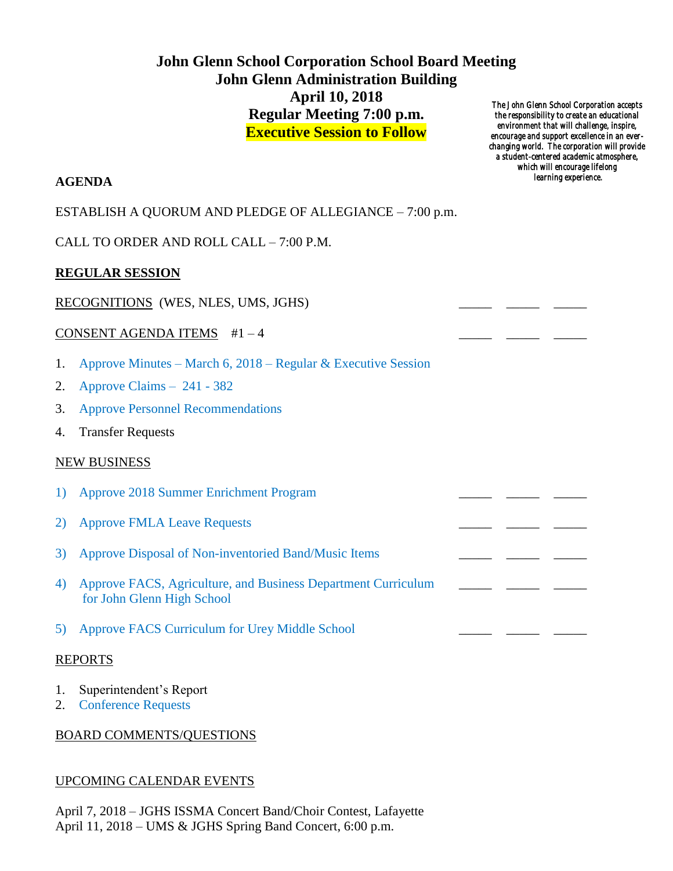# **John Glenn School Corporation School Board Meeting John Glenn Administration Building April 10, 2018 Regular Meeting 7:00 p.m. Executive Session to Follow**

*The John Glenn School Corporation accepts the responsibility to create an educational environment that will challenge, inspire, encourage and support excellence in an everchanging world. The corporation will provide a student-centered academic atmosphere, which will encourage lifelong learning experience.* 

# **AGENDA**

## ESTABLISH A QUORUM AND PLEDGE OF ALLEGIANCE – 7:00 p.m.

CALL TO ORDER AND ROLL CALL – 7:00 P.M.

### **REGULAR SESSION**

### RECOGNITIONS (WES, NLES, UMS, JGHS)

### CONSENT AGENDA ITEMS  $#1-4$

- 1. Approve Minutes March 6, 2018 Regular & Executive Session
- 2. Approve Claims 241 382
- 3. Approve Personnel Recommendations
- 4. Transfer Requests

### NEW BUSINESS

| 1) Approve 2018 Summer Enrichment Program |  |
|-------------------------------------------|--|
|                                           |  |

- 2) Approve FMLA Leave Requests
- 3) Approve Disposal of Non-inventoried Band/Music Items
- 4) Approve FACS, Agriculture, and Business Department Curriculum \_\_\_\_\_ \_\_\_\_ for John Glenn High School
- 5) Approve FACS Curriculum for Urey Middle School

#### REPORTS

- 1. Superintendent's Report
- 2. Conference Requests

### BOARD COMMENTS/QUESTIONS

### UPCOMING CALENDAR EVENTS

April 7, 2018 – JGHS ISSMA Concert Band/Choir Contest, Lafayette April 11, 2018 – UMS & JGHS Spring Band Concert, 6:00 p.m.